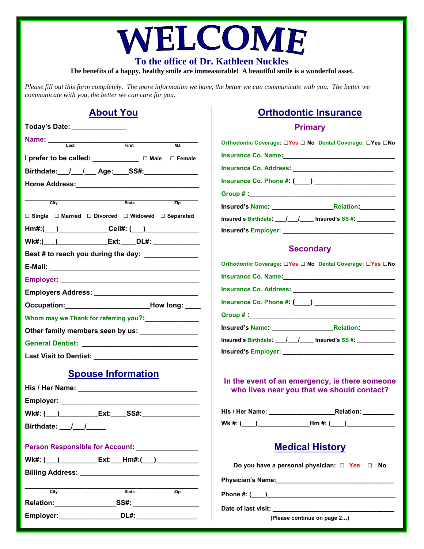# WELCOME

**To the office of Dr. Kathleen Nuckles** 

**The benefits of a happy, healthy smile are immeasurable! A beautiful smile is a wonderful asset.** 

*Please fill out this form completely. The more information we have, the better we can communicate with you. The better we communicate with you, the better we can care for you.* 

#### **About You**

| Today's Date: _______________                                                |  |  |  |
|------------------------------------------------------------------------------|--|--|--|
| <b>Name:</b> Last First<br>M.L.                                              |  |  |  |
| I prefer to be called: ____________ □ Male □ Female                          |  |  |  |
| Birthdate: / / / Age: SS#:                                                   |  |  |  |
|                                                                              |  |  |  |
|                                                                              |  |  |  |
| City<br><b>State</b><br>$\overline{Zip}$                                     |  |  |  |
| $\Box$ Single $\Box$ Married $\Box$ Divorced $\Box$ Widowed $\Box$ Separated |  |  |  |
| Hm#:(___)_____________Cell#: (___)_______________                            |  |  |  |
| Wk#:(___)___________________Ext:_____DL#: _________________                  |  |  |  |
| Best # to reach you during the day: ______________                           |  |  |  |
|                                                                              |  |  |  |
|                                                                              |  |  |  |
|                                                                              |  |  |  |
| Occupation: How long:                                                        |  |  |  |
| Whom may we Thank for referring you?: Management                             |  |  |  |
| Other family members seen by us: ________________                            |  |  |  |
|                                                                              |  |  |  |
|                                                                              |  |  |  |
| <b>Spouse Information</b>                                                    |  |  |  |
|                                                                              |  |  |  |
|                                                                              |  |  |  |
|                                                                              |  |  |  |
|                                                                              |  |  |  |
|                                                                              |  |  |  |
| Person Responsible for Account: ________________                             |  |  |  |
| Wk#: (___)______________Ext:____Hm#:(___)_______________                     |  |  |  |
|                                                                              |  |  |  |
| $\overline{\text{City}}$<br><b>State</b><br>$\overline{Zip}$                 |  |  |  |
|                                                                              |  |  |  |
|                                                                              |  |  |  |
|                                                                              |  |  |  |

## **Orthodontic Insurance**

#### **Primary**

| Orthodontic Coverage: □Yes □ No Dental Coverage: □Yes □No                                    |
|----------------------------------------------------------------------------------------------|
|                                                                                              |
|                                                                                              |
| Insurance Co. Phone #: (____) _________________________                                      |
|                                                                                              |
|                                                                                              |
| Insured's Birthdate: 1. 1. 1. Insured's SS #:                                                |
|                                                                                              |
| <b>Secondary</b>                                                                             |
| Orthodontic Coverage: □Yes □ No Dental Coverage: □Yes □No                                    |
| Insurance Co. Name: Mannel Management Co. Name: Management Co. 01                            |
|                                                                                              |
|                                                                                              |
|                                                                                              |
|                                                                                              |
| Insured's Birthdate: __/__/____ Insured's SS #: ___________                                  |
|                                                                                              |
| In the event of an emergency, is there someone<br>who lives near you that we should contact? |
|                                                                                              |
|                                                                                              |
| <b>Medical History</b>                                                                       |
| Do you have a personal physician: $\Box$ Yes $\Box$ No                                       |
|                                                                                              |
|                                                                                              |
|                                                                                              |

Date of last visit:

**(Please continue on page 2…)**